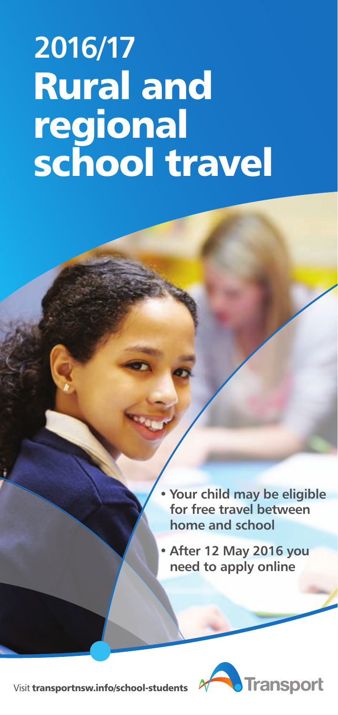# **Rural and regional school travel** 2016/17

- Your child may be eligible for free travel between home and school
- After 12 May 2016 you need to apply online



Visit **[transportnsw.info/school-students](http://transportnsw.info/school-students)**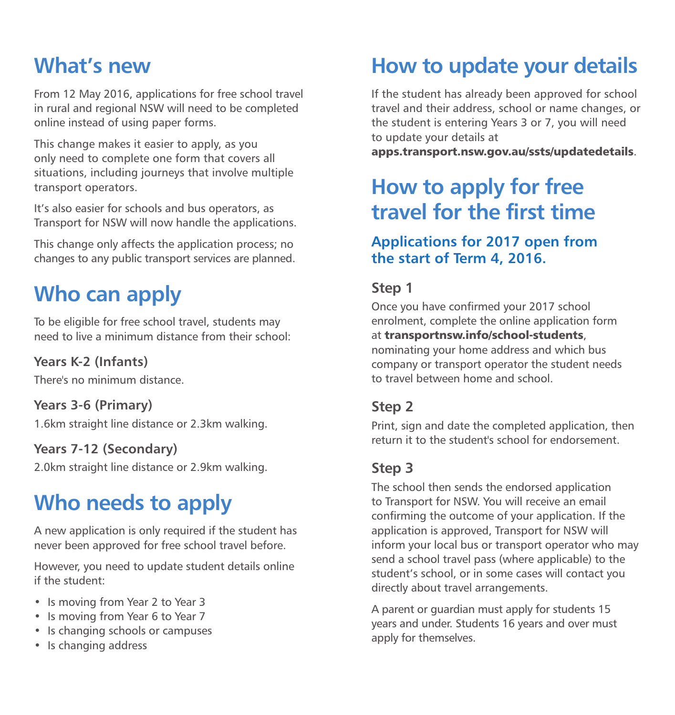### What's new

From 12 May 2016, applications for free school travel in rural and regional NSW will need to be completed online instead of using paper forms.

This change makes it easier to apply, as you only need to complete one form that covers all situations, including journeys that involve multiple transport operators.

It's also easier for schools and bus operators, as Transport for NSW will now handle the applications.

This change only affects the application process; no changes to any public transport services are planned.

### Who can apply

To be eligible for free school travel, students may need to live a minimum distance from their school:

#### Years K-2 (Infants)

There's no minimum distance.

#### Years 3-6 (Primary)

1.6km straight line distance or 2.3km walking.

#### Years 7-12 (Secondary)

2.0km straight line distance or 2.9km walking.

### Who needs to apply

A new application is only required if the student has never been approved for free school travel before.

However, you need to update student details online if the student:

- Is moving from Year 2 to Year 3
- Is moving from Year 6 to Year 7
- Is changing schools or campuses
- Is changing address

### How to update your details

If the student has already been approved for school travel and their address, school or name changes, or the student is entering Years 3 or 7, you will need to update your details at

**[apps.transport.nsw.gov.au/ssts/updatedetails](http://apps.transport.nsw.gov.au/ssts/updatedetails)**.

### How to apply for free travel for the first time

#### Applications for 2017 open from the start of Term 4, 2016.

#### Step 1

Once you have confirmed your 2017 school enrolment, complete the online application form at **[transportnsw.info/school-students](http://transportnsw.info/school-students)**, nominating your home address and which bus company or transport operator the student needs to travel between home and school.

#### Step 2

Print, sign and date the completed application, then return it to the student's school for endorsement.

#### Step 3

The school then sends the endorsed application to Transport for NSW. You will receive an email confirming the outcome of your application. If the application is approved, Transport for NSW will inform your local bus or transport operator who may send a school travel pass (where applicable) to the student's school, or in some cases will contact you directly about travel arrangements.

A parent or guardian must apply for students 15 years and under. Students 16 years and over must apply for themselves.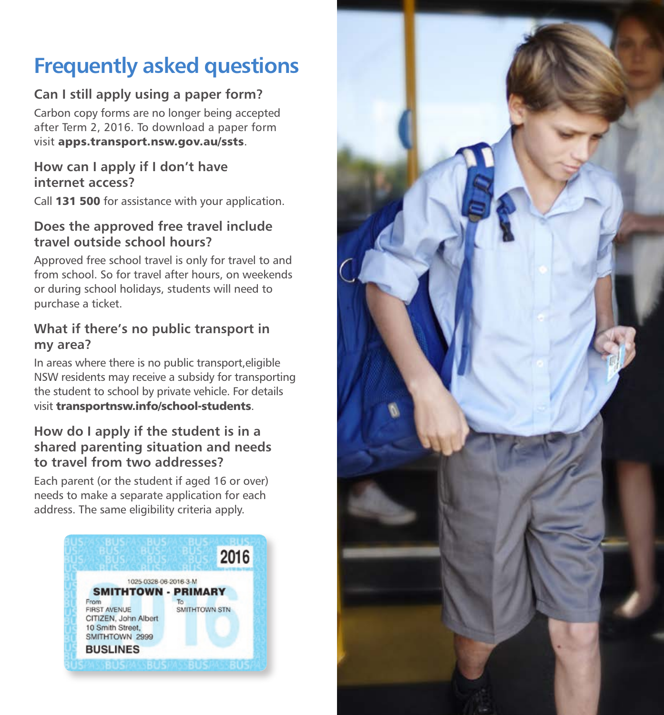### Frequently asked questions

#### Can I still apply using a paper form?

Carbon copy forms are no longer being accepted after Term 2, 2016. To download a paper form visit **[apps.transport.nsw.gov.au/ssts](http://apps.transport.nsw.gov.au/ssts)**.

#### How can I apply if I don't have internet access?

Call **131 500** for assistance with your application.

#### Does the approved free travel include travel outside school hours?

Approved free school travel is only for travel to and from school. So for travel after hours, on weekends or during school holidays, students will need to purchase a ticket.

#### What if there's no public transport in my area?

In areas where there is no public transport,eligible NSW residents may receive a subsidy for transporting the student to school by private vehicle. For details visit **[transportnsw.info/school-students](http://transportnsw.info/school-students)**.

#### How do I apply if the student is in a shared parenting situation and needs to travel from two addresses?

Each parent (or the student if aged 16 or over) needs to make a separate application for each address. The same eligibility criteria apply.